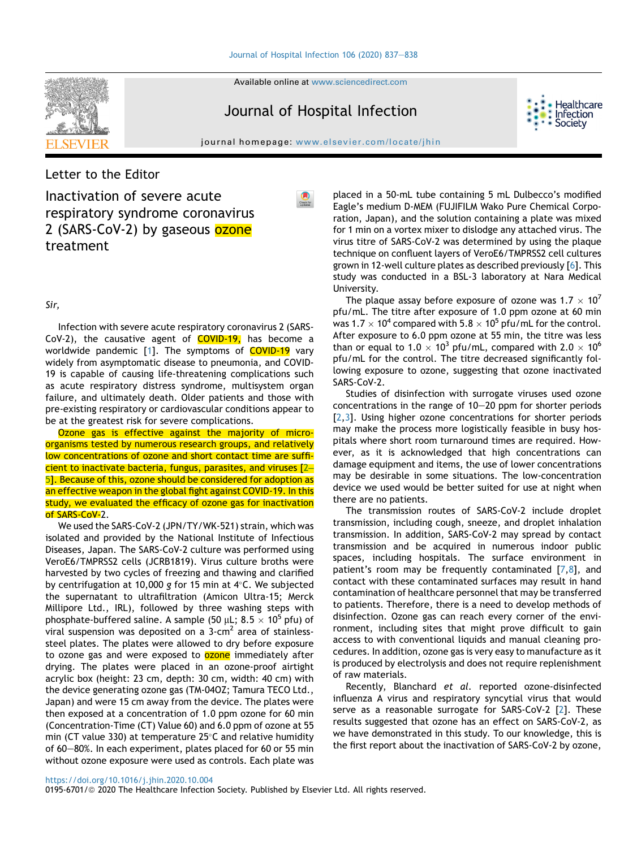Available online at [www.sciencedirect.com](www.sciencedirect.com/science/journal/01956701)

# Journal of Hospital Infection

**Healthcare** Infection Societv



## Letter to the Editor

Inactivation of severe acute respiratory syndrome coronavirus 2 (SARS-CoV-2) by gaseous ozone treatment

#### Sir,

Infection with severe acute respiratory coronavirus 2 (SARS-CoV-2), the causative agent of COVID-19, has become a worldwide pandemic [[1](#page-1-0)]. The symptoms of COVID-19 vary widely from asymptomatic disease to pneumonia, and COVID-19 is capable of causing life-threatening complications such as acute respiratory distress syndrome, multisystem organ failure, and ultimately death. Older patients and those with pre-existing respiratory or cardiovascular conditions appear to be at the greatest risk for severe complications.

Ozone gas is effective against the majority of microorganisms tested by numerous research groups, and relatively low concentrations of ozone and short contact time are sufficient to inactivate bacteria, fungus, parasites, and viruses [2– [5](#page-1-1)]. Because of this, ozone should be considered for adoption as an effective weapon in the global fight against COVID-19. In this study, we evaluated the efficacy of ozone gas for inactivation of SARS-CoV-2.

We used the SARS-CoV-2 (JPN/TY/WK-521) strain, which was isolated and provided by the National Institute of Infectious Diseases, Japan. The SARS-CoV-2 culture was performed using VeroE6/TMPRSS2 cells (JCRB1819). Virus culture broths were harvested by two cycles of freezing and thawing and clarified by centrifugation at 10,000 g for 15 min at  $4^{\circ}$ C. We subjected the supernatant to ultrafiltration (Amicon Ultra-15; Merck Millipore Ltd., IRL), followed by three washing steps with phosphate-buffered saline. A sample (50  $\mu$ L; 8.5  $\times$  10<sup>5</sup> pfu) of viral suspension was deposited on a  $3$ -cm<sup>2</sup> area of stainlesssteel plates. The plates were allowed to dry before exposure to ozone gas and were exposed to **ozone** immediately after drying. The plates were placed in an ozone-proof airtight acrylic box (height: 23 cm, depth: 30 cm, width: 40 cm) with the device generating ozone gas (TM-04OZ; Tamura TECO Ltd., Japan) and were 15 cm away from the device. The plates were then exposed at a concentration of 1.0 ppm ozone for 60 min (Concentration-Time (CT) Value 60) and 6.0 ppm of ozone at 55 min (CT value 330) at temperature  $25^{\circ}$ C and relative humidity of 60–80%. In each experiment, plates placed for 60 or 55 min without ozone exposure were used as controls. Each plate was

placed in a 50-mL tube containing 5 mL Dulbecco's modified Eagle's medium D-MEM (FUJIFILM Wako Pure Chemical Corporation, Japan), and the solution containing a plate was mixed for 1 min on a vortex mixer to dislodge any attached virus. The virus titre of SARS-CoV-2 was determined by using the plaque technique on confluent layers of VeroE6/TMPRSS2 cell cultures grown in 12-well culture plates as described previously [\[6\]](#page-1-2). This study was conducted in a BSL-3 laboratory at Nara Medical University.

The plaque assay before exposure of ozone was  $1.7 \times 10^7$ pfu/mL. The titre after exposure of 1.0 ppm ozone at 60 min was 1.7  $\times$  10<sup>4</sup> compared with 5.8  $\times$  10<sup>5</sup> pfu/mL for the control. After exposure to 6.0 ppm ozone at 55 min, the titre was less than or equal to 1.0  $\times$  10<sup>3</sup> pfu/mL, compared with 2.0  $\times$  10<sup>6</sup> pfu/mL for the control. The titre decreased significantly following exposure to ozone, suggesting that ozone inactivated SARS-CoV-2.

Studies of disinfection with surrogate viruses used ozone concentrations in the range of  $10-20$  ppm for shorter periods [[2](#page-1-1),[3](#page-1-3)]. Using higher ozone concentrations for shorter periods may make the process more logistically feasible in busy hospitals where short room turnaround times are required. However, as it is acknowledged that high concentrations can damage equipment and items, the use of lower concentrations may be desirable in some situations. The low-concentration device we used would be better suited for use at night when there are no patients.

The transmission routes of SARS-CoV-2 include droplet transmission, including cough, sneeze, and droplet inhalation transmission. In addition, SARS-CoV-2 may spread by contact transmission and be acquired in numerous indoor public spaces, including hospitals. The surface environment in patient's room may be frequently contaminated  $[7,8]$  $[7,8]$ , and contact with these contaminated surfaces may result in hand contamination of healthcare personnel that may be transferred to patients. Therefore, there is a need to develop methods of disinfection. Ozone gas can reach every corner of the environment, including sites that might prove difficult to gain access to with conventional liquids and manual cleaning procedures. In addition, ozone gas is very easy to manufacture as it is produced by electrolysis and does not require replenishment of raw materials.

Recently, Blanchard et al. reported ozone-disinfected influenza A virus and respiratory syncytial virus that would serve as a reasonable surrogate for SARS-CoV-[2](#page-1-1) [2]. These results suggested that ozone has an effect on SARS-CoV-2, as we have demonstrated in this study. To our knowledge, this is the first report about the inactivation of SARS-CoV-2 by ozone,

#### <https://doi.org/10.1016/j.jhin.2020.10.004>

0195-6701/@ 2020 The Healthcare Infection Society. Published by Elsevier Ltd. All rights reserved.